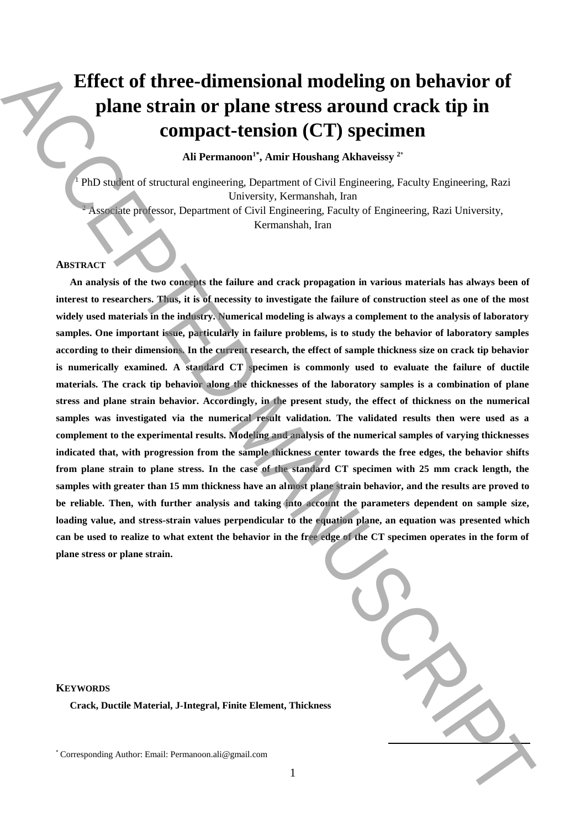# **Effect of three-dimensional modeling on behavior of plane strain or plane stress around crack tip in compact-tension (CT) specimen**

**Ali Permanoon1\* , Amir Houshang Akhaveissy <sup>2</sup>**\*

<sup>1</sup> PhD student of structural engineering, Department of Civil Engineering, Faculty Engineering, Razi University, Kermanshah, Iran <sup>2</sup> Associate professor, Department of Civil Engineering, Faculty of Engineering, Razi University, Kermanshah, Iran

## **ABSTRACT**

**An analysis of the two concepts the failure and crack propagation in various materials has always been of interest to researchers. Thus, it is of necessity to investigate the failure of construction steel as one of the most widely used materials in the industry. Numerical modeling is always a complement to the analysis of laboratory samples. One important issue, particularly in failure problems, is to study the behavior of laboratory samples according to their dimensions. In the current research, the effect of sample thickness size on crack tip behavior is numerically examined. A standard CT specimen is commonly used to evaluate the failure of ductile materials. The crack tip behavior along the thicknesses of the laboratory samples is a combination of plane stress and plane strain behavior. Accordingly, in the present study, the effect of thickness on the numerical samples was investigated via the numerical result validation. The validated results then were used as a complement to the experimental results. Modeling and analysis of the numerical samples of varying thicknesses indicated that, with progression from the sample thickness center towards the free edges, the behavior shifts from plane strain to plane stress. In the case of the standard CT specimen with 25 mm crack length, the samples with greater than 15 mm thickness have an almost plane strain behavior, and the results are proved to be reliable. Then, with further analysis and taking into account the parameters dependent on sample size, loading value, and stress-strain values perpendicular to the equation plane, an equation was presented which**  can be used to realize to what extent the behavior in the free edge of the CT specimen operates in the form of **plane stress or plane strain. Effect of three-dimensional modeling on behavior of plane stress around crack tip in compact-tension (CT) species around Crask tip in compacters**  $\sim$  **Corresponding Authority <sup>2</sup>. The contrast of contrast of the contrast** 

**KEYWORDS**

**Crack, Ductile Material, J-Integral, Finite Element, Thickness**

**.**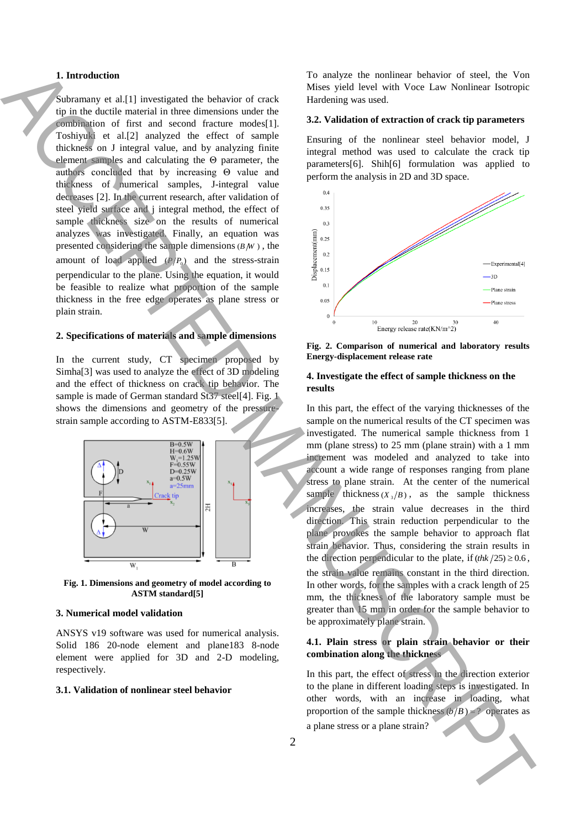#### **1. Introduction**

Subramany et al.[1] investigated the behavior of crack tip in the ductile material in three dimensions under the combination of first and second fracture modes[1]. Toshiyuki et al.[2] analyzed the effect of sample thickness on J integral value, and by analyzing finite element samples and calculating the Θ parameter, the authors concluded that by increasing Θ value and thickness of numerical samples, J-integral value decreases [2]. In the current research, after validation of steel yield surface and j integral method, the effect of sample thickness size on the results of numerical analyzes was investigated. Finally, an equation was presented considering the sample dimensions  $(B/W)$ , the amount of load applied  $(P/P_0)$  and the stress-strain perpendicular to the plane. Using the equation, it would be feasible to realize what proportion of the sample thickness in the free edge operates as plane stress or plain strain.

# **2. Specifications of materials and sample dimensions**

In the current study, CT specimen proposed by Simha[3] was used to analyze the effect of 3D modeling and the effect of thickness on crack tip behavior. The sample is made of German standard St37 steel[4]. Fig. 1 shows the dimensions and geometry of the pressurestrain sample according to ASTM-E833[5].



**Fig. 1. Dimensions and geometry of model according to ASTM standard[5]**

#### **3. Numerical model validation**

ANSYS v19 software was used for numerical analysis. Solid 186 20-node element and plane183 8-node element were applied for 3D and 2-D modeling, respectively.

#### **3.1. Validation of nonlinear steel behavior**

To analyze the nonlinear behavior of steel, the Von Mises yield level with Voce Law Nonlinear Isotropic Hardening was used.

# **3.2. Validation of extraction of crack tip parameters**

Ensuring of the nonlinear steel behavior model, J integral method was used to calculate the crack tip parameters[6]. Shih[6] formulation was applied to perform the analysis in 2D and 3D space.



**Fig. 2. Comparison of numerical and laboratory results Energy-displacement release rate**

## **4. Investigate the effect of sample thickness on the results**

In this part, the effect of the varying thicknesses of the sample on the numerical results of the CT specimen was investigated. The numerical sample thickness from 1 mm (plane stress) to 25 mm (plane strain) with a 1 mm increment was modeled and analyzed to take into account a wide range of responses ranging from plane stress to plane strain. At the center of the numerical sample thickness  $(X, B)$ , as the sample thickness increases, the strain value decreases in the third direction. This strain reduction perpendicular to the plane provokes the sample behavior to approach flat strain behavior. Thus, considering the strain results in the direction perpendicular to the plate, if  $(thk / 25) \ge 0.6$ , the strain value remains constant in the third direction. In other words, for the samples with a crack length of 25 mm, the thickness of the laboratory sample must be greater than 15 mm in order for the sample behavior to be approximately plane strain. **1.** Introduction of the strain of the stress or a train of the stress or a stress or a strain of the stress or a stress or a strain of the stress or a strain of the stress or a stress or a strain of the strain of the str

# **4.1. Plain stress or plain strain behavior or their combination along the thickness**

In this part, the effect of stress in the direction exterior to the plane in different loading steps is investigated. In other words, with an increase in loading, what proportion of the sample thickness  $(b/B) = ?$  operates as

2